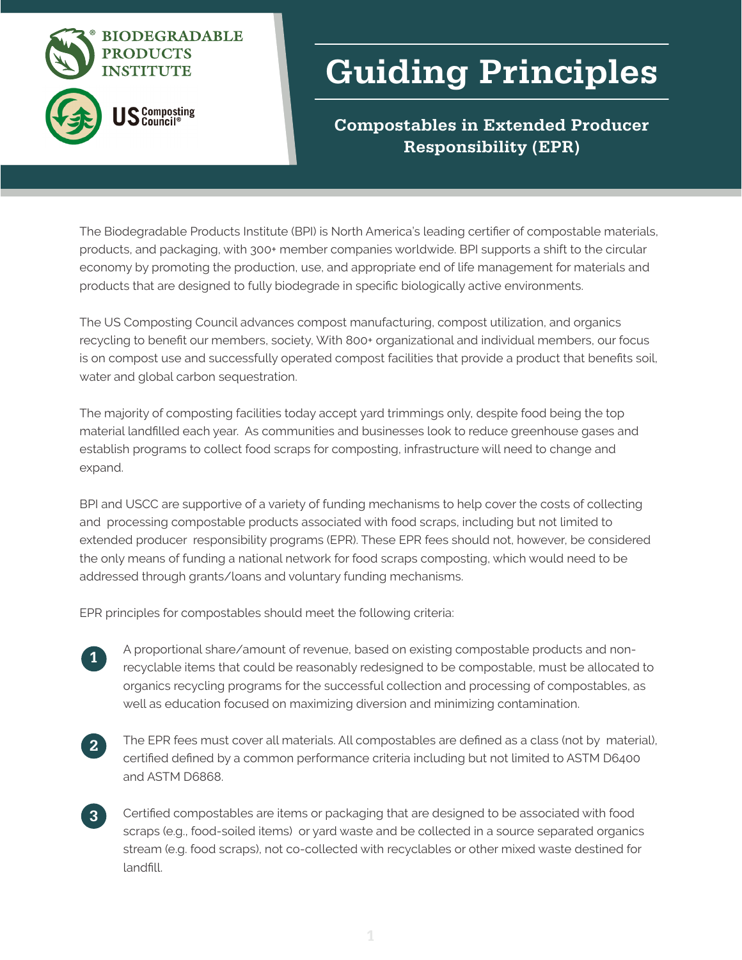

## Guiding Principles

Compostables in Extended Producer Responsibility (EPR)

The Biodegradable Products Institute (BPI) is North America's leading certifier of compostable materials, products, and packaging, with 300+ member companies worldwide. BPI supports a shift to the circular economy by promoting the production, use, and appropriate end of life management for materials and products that are designed to fully biodegrade in specific biologically active environments.

The US Composting Council advances compost manufacturing, compost utilization, and organics recycling to benefit our members, society, With 800+ organizational and individual members, our focus is on compost use and successfully operated compost facilities that provide a product that benefits soil, water and global carbon sequestration.

The majority of composting facilities today accept yard trimmings only, despite food being the top material landfilled each year. As communities and businesses look to reduce greenhouse gases and establish programs to collect food scraps for composting, infrastructure will need to change and expand.   

BPI and USCC are supportive of a variety of funding mechanisms to help cover the costs of collecting and processing compostable products associated with food scraps, including but not limited to extended producer responsibility programs (EPR). These EPR fees should not, however, be considered the only means of funding a national network for food scraps composting, which would need to be addressed through grants/loans and voluntary funding mechanisms.

EPR principles for compostables should meet the following criteria:  

- A proportional share/amount of revenue, based on existing compostable products and nonrecyclable items that could be reasonably redesigned to be compostable, must be allocated to organics recycling programs for the successful collection and processing of compostables, as well as education focused on maximizing diversion and minimizing contamination. 1
- The EPR fees must cover all materials. All compostables are defined as a class (not by material), certified defined by a common performance criteria including but not limited to ASTM D6400 and ASTM D6868. 2
- Certified compostables are items or packaging that are designed to be associated with food scraps (e.g., food-soiled items) or yard waste and be collected in a source separated organics stream (e.g. food scraps), not co-collected with recyclables or other mixed waste destined for landfill. 3